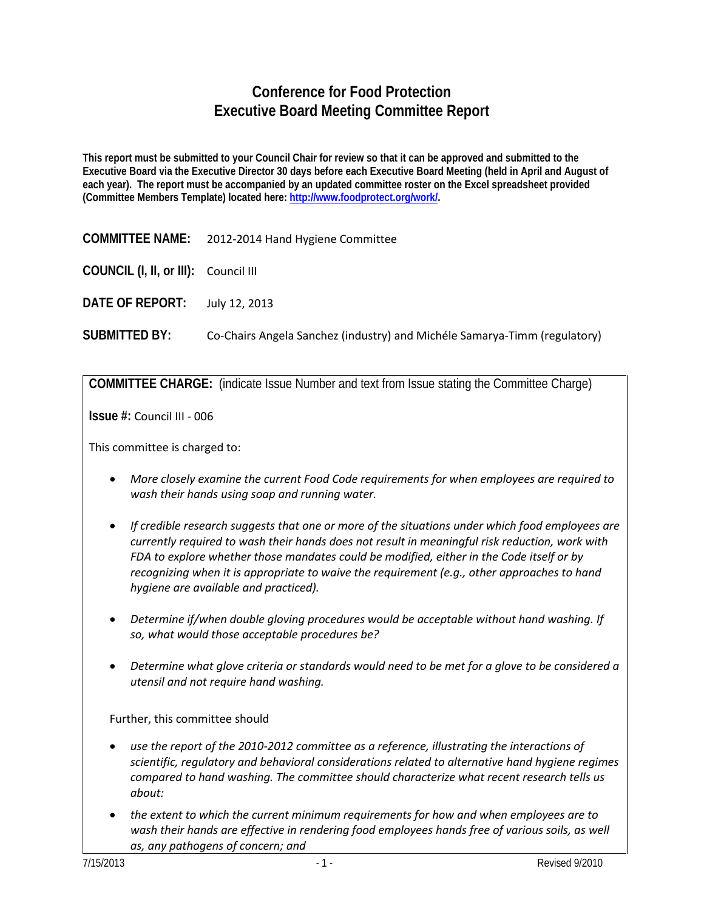# **Conference for Food Protection Executive Board Meeting Committee Report**

**This report must be submitted to your Council Chair for review so that it can be approved and submitted to the Executive Board via the Executive Director 30 days before each Executive Board Meeting (held in April and August of each year). The report must be accompanied by an updated committee roster on the Excel spreadsheet provided (Committee Members Template) located here: [http://www.foodprotect.org/work/.](http://www.foodprotect.org/work/)**

**COMMITTEE NAME:** 2012-2014 Hand Hygiene Committee

**COUNCIL (I, II, or III):** Council III

**DATE OF REPORT:** July 12, 2013

**SUBMITTED BY:** Co-Chairs Angela Sanchez (industry) and Michéle Samarya-Timm (regulatory)

**COMMITTEE CHARGE:** (indicate Issue Number and text from Issue stating the Committee Charge)

**Issue #:** Council III - 006

This committee is charged to:

- *More closely examine the current Food Code requirements for when employees are required to wash their hands using soap and running water.*
- *If credible research suggests that one or more of the situations under which food employees are currently required to wash their hands does not result in meaningful risk reduction, work with FDA to explore whether those mandates could be modified, either in the Code itself or by recognizing when it is appropriate to waive the requirement (e.g., other approaches to hand hygiene are available and practiced).*
- *Determine if/when double gloving procedures would be acceptable without hand washing. If so, what would those acceptable procedures be?*
- *Determine what glove criteria or standards would need to be met for a glove to be considered a utensil and not require hand washing.*

Further, this committee should

- *use the report of the 2010-2012 committee as a reference, illustrating the interactions of scientific, regulatory and behavioral considerations related to alternative hand hygiene regimes compared to hand washing. The committee should characterize what recent research tells us about:*
- *the extent to which the current minimum requirements for how and when employees are to wash their hands are effective in rendering food employees hands free of various soils, as well as, any pathogens of concern; and*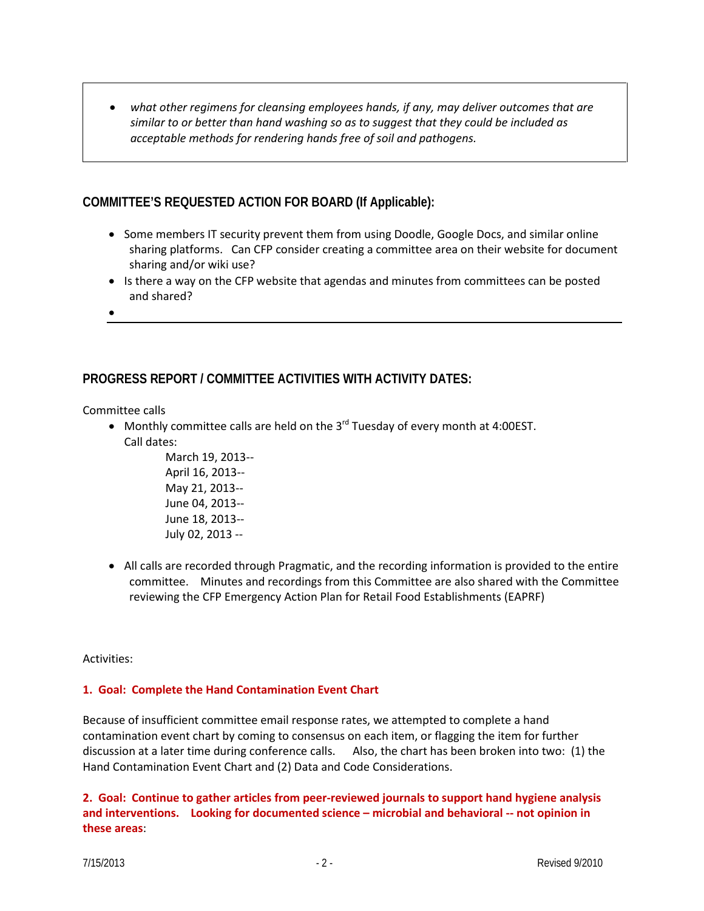• *what other regimens for cleansing employees hands, if any, may deliver outcomes that are similar to or better than hand washing so as to suggest that they could be included as acceptable methods for rendering hands free of soil and pathogens.* 

## **COMMITTEE'S REQUESTED ACTION FOR BOARD (If Applicable):**

- Some members IT security prevent them from using Doodle, Google Docs, and similar online sharing platforms. Can CFP consider creating a committee area on their website for document sharing and/or wiki use?
- Is there a way on the CFP website that agendas and minutes from committees can be posted and shared?
- •

## **PROGRESS REPORT / COMMITTEE ACTIVITIES WITH ACTIVITY DATES:**

Committee calls

• Monthly committee calls are held on the  $3^{rd}$  Tuesday of every month at 4:00EST. Call dates:

> March 19, 2013-- April 16, 2013-- May 21, 2013-- June 04, 2013-- June 18, 2013-- July 02, 2013 --

• All calls are recorded through Pragmatic, and the recording information is provided to the entire committee. Minutes and recordings from this Committee are also shared with the Committee reviewing the CFP Emergency Action Plan for Retail Food Establishments (EAPRF)

Activities:

#### **1. Goal: Complete the Hand Contamination Event Chart**

Because of insufficient committee email response rates, we attempted to complete a hand contamination event chart by coming to consensus on each item, or flagging the item for further discussion at a later time during conference calls. Also, the chart has been broken into two: (1) the Hand Contamination Event Chart and (2) Data and Code Considerations.

**2. Goal: Continue to gather articles from peer-reviewed journals to support hand hygiene analysis and interventions. Looking for documented science – microbial and behavioral -- not opinion in these areas**: